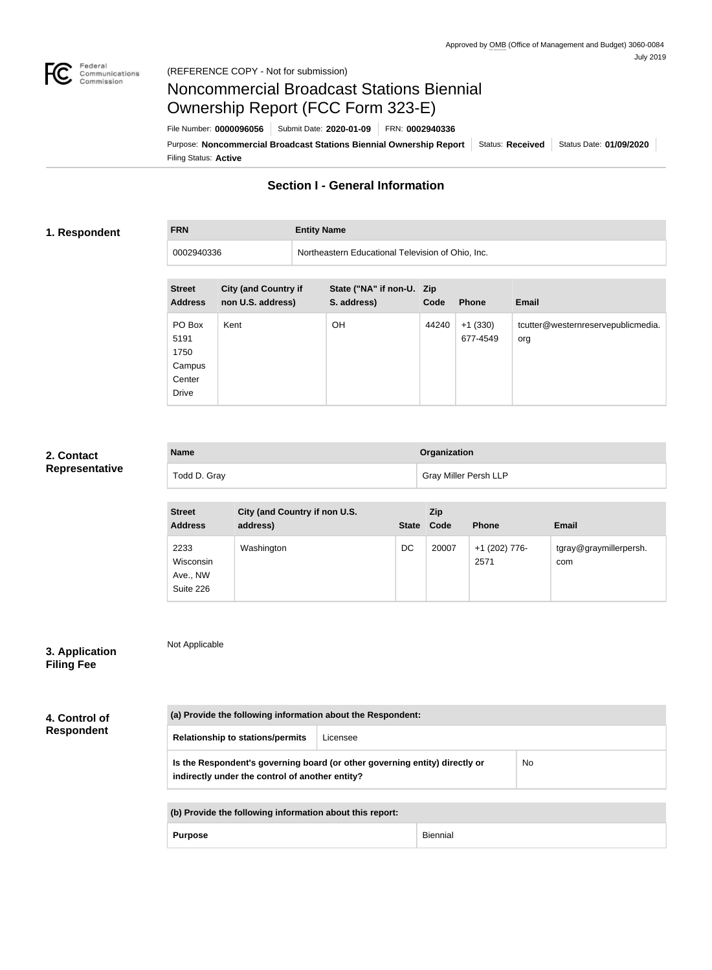

**FRN Entity Name**

# Noncommercial Broadcast Stations Biennial Ownership Report (FCC Form 323-E)

Filing Status: **Active** Purpose: Noncommercial Broadcast Stations Biennial Ownership Report Status: Received Status Date: 01/09/2020 File Number: **0000096056** Submit Date: **2020-01-09** FRN: **0002940336**

## **Section I - General Information**

### **1. Respondent**

0002940336 Northeastern Educational Television of Ohio, Inc.

| <b>Street</b><br><b>Address</b>                            | <b>City (and Country if</b><br>non U.S. address) | State ("NA" if non-U. Zip<br>S. address) | Code  | <b>Phone</b>          | <b>Email</b>                              |
|------------------------------------------------------------|--------------------------------------------------|------------------------------------------|-------|-----------------------|-------------------------------------------|
| PO Box<br>5191<br>1750<br>Campus<br>Center<br><b>Drive</b> | Kent                                             | <b>OH</b>                                | 44240 | $+1(330)$<br>677-4549 | tcutter@westernreservepublicmedia.<br>org |

### **2. Contact Representative**

| <b>Name</b>  | Organization                 |
|--------------|------------------------------|
| Todd D. Gray | <b>Gray Miller Persh LLP</b> |

| <b>Street</b><br><b>Address</b>            | City (and Country if non U.S.<br>address) | <b>State</b> | Zip<br>Code | <b>Phone</b>          | <b>Email</b>                  |
|--------------------------------------------|-------------------------------------------|--------------|-------------|-----------------------|-------------------------------|
| 2233<br>Wisconsin<br>Ave., NW<br>Suite 226 | Washington                                | DC           | 20007       | +1 (202) 776-<br>2571 | tgray@graymillerpersh.<br>com |

| 3. Application    |  |
|-------------------|--|
| <b>Filing Fee</b> |  |

**4. Control of Respondent**

**(a) Provide the following information about the Respondent:**

**Relationship to stations/permits** Licensee

**Is the Respondent's governing board (or other governing entity) directly or indirectly under the control of another entity?** No

**(b) Provide the following information about this report:**

Purpose **Biennial** 

Not Applicable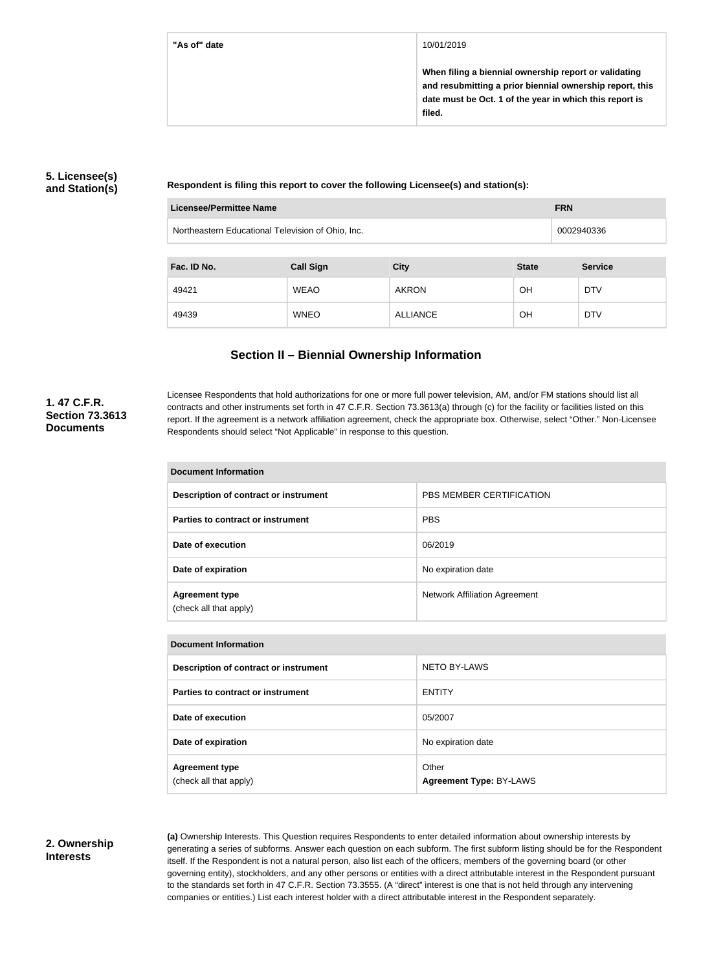**"As of" date** 10/01/2019

**When filing a biennial ownership report or validating and resubmitting a prior biennial ownership report, this date must be Oct. 1 of the year in which this report is filed.**

## **5. Licensee(s) and Station(s)**

**Respondent is filing this report to cover the following Licensee(s) and station(s):**

| Licensee/Permittee Name |                                                   |                 | <b>FRN</b>   |                |  |
|-------------------------|---------------------------------------------------|-----------------|--------------|----------------|--|
|                         | Northeastern Educational Television of Ohio, Inc. |                 |              | 0002940336     |  |
|                         |                                                   |                 |              |                |  |
| Fac. ID No.             | <b>Call Sign</b>                                  | <b>City</b>     | <b>State</b> | <b>Service</b> |  |
| 49421                   | <b>WEAO</b>                                       | <b>AKRON</b>    | <b>OH</b>    | <b>DTV</b>     |  |
| 49439                   | <b>WNEO</b>                                       | <b>ALLIANCE</b> | OH           | <b>DTV</b>     |  |

## **Section II – Biennial Ownership Information**

## **1. 47 C.F.R. Section 73.3613 Documents**

Licensee Respondents that hold authorizations for one or more full power television, AM, and/or FM stations should list all contracts and other instruments set forth in 47 C.F.R. Section 73.3613(a) through (c) for the facility or facilities listed on this report. If the agreement is a network affiliation agreement, check the appropriate box. Otherwise, select "Other." Non-Licensee Respondents should select "Not Applicable" in response to this question.

| Document Information                            |                                      |  |
|-------------------------------------------------|--------------------------------------|--|
| Description of contract or instrument           | <b>PBS MEMBER CERTIFICATION</b>      |  |
| Parties to contract or instrument               | <b>PBS</b>                           |  |
| Date of execution                               | 06/2019                              |  |
| Date of expiration                              | No expiration date                   |  |
| <b>Agreement type</b><br>(check all that apply) | <b>Network Affiliation Agreement</b> |  |

| <b>Document Information</b>           |                         |  |
|---------------------------------------|-------------------------|--|
| Description of contract or instrument | <b>NETO BY-LAWS</b>     |  |
| Parties to contract or instrument     | <b>ENTITY</b>           |  |
| Date of execution                     | 05/2007                 |  |
| Date of expiration                    | No expiration date      |  |
| <b>Agreement type</b>                 | Other                   |  |
| (check all that apply)                | Agreement Type: BY-LAWS |  |

#### **2. Ownership Interests**

**(a)** Ownership Interests. This Question requires Respondents to enter detailed information about ownership interests by generating a series of subforms. Answer each question on each subform. The first subform listing should be for the Respondent itself. If the Respondent is not a natural person, also list each of the officers, members of the governing board (or other governing entity), stockholders, and any other persons or entities with a direct attributable interest in the Respondent pursuant to the standards set forth in 47 C.F.R. Section 73.3555. (A "direct" interest is one that is not held through any intervening companies or entities.) List each interest holder with a direct attributable interest in the Respondent separately.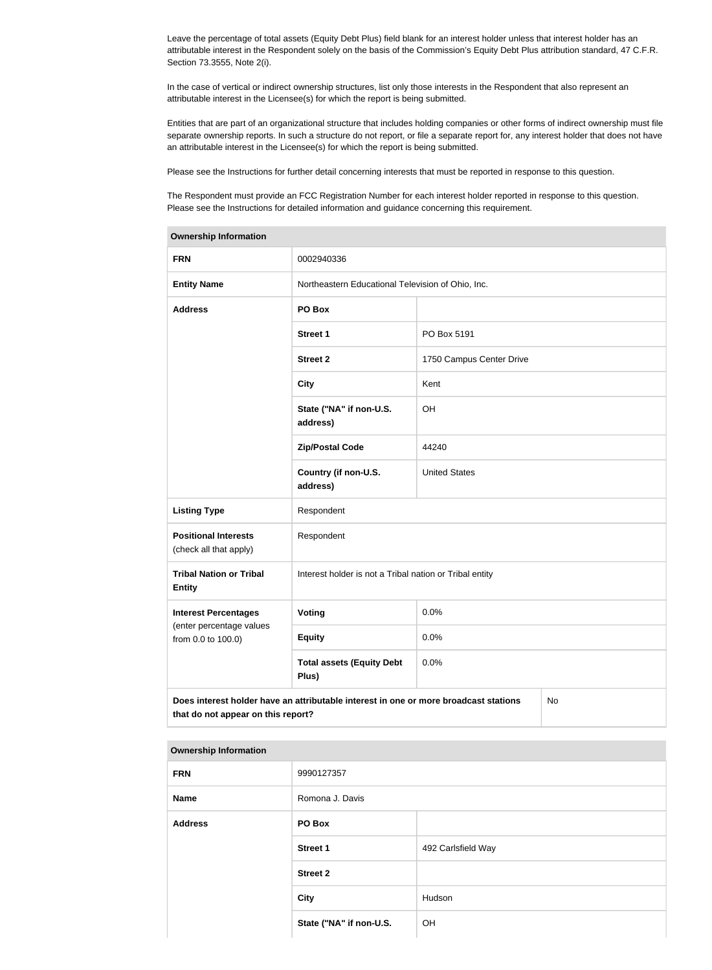Leave the percentage of total assets (Equity Debt Plus) field blank for an interest holder unless that interest holder has an attributable interest in the Respondent solely on the basis of the Commission's Equity Debt Plus attribution standard, 47 C.F.R. Section 73.3555, Note 2(i).

In the case of vertical or indirect ownership structures, list only those interests in the Respondent that also represent an attributable interest in the Licensee(s) for which the report is being submitted.

Entities that are part of an organizational structure that includes holding companies or other forms of indirect ownership must file separate ownership reports. In such a structure do not report, or file a separate report for, any interest holder that does not have an attributable interest in the Licensee(s) for which the report is being submitted.

Please see the Instructions for further detail concerning interests that must be reported in response to this question.

The Respondent must provide an FCC Registration Number for each interest holder reported in response to this question. Please see the Instructions for detailed information and guidance concerning this requirement.

| Ownership information                                 |                                                                                      |                          |    |  |
|-------------------------------------------------------|--------------------------------------------------------------------------------------|--------------------------|----|--|
| <b>FRN</b>                                            | 0002940336                                                                           |                          |    |  |
| <b>Entity Name</b>                                    | Northeastern Educational Television of Ohio, Inc.                                    |                          |    |  |
| <b>Address</b>                                        | PO Box                                                                               |                          |    |  |
|                                                       | <b>Street 1</b>                                                                      | PO Box 5191              |    |  |
|                                                       | <b>Street 2</b>                                                                      | 1750 Campus Center Drive |    |  |
|                                                       | <b>City</b>                                                                          | Kent                     |    |  |
|                                                       | State ("NA" if non-U.S.<br>address)                                                  | OH                       |    |  |
|                                                       | <b>Zip/Postal Code</b>                                                               | 44240                    |    |  |
|                                                       | Country (if non-U.S.<br>address)                                                     | <b>United States</b>     |    |  |
| <b>Listing Type</b>                                   | Respondent                                                                           |                          |    |  |
| <b>Positional Interests</b><br>(check all that apply) | Respondent                                                                           |                          |    |  |
| <b>Tribal Nation or Tribal</b><br><b>Entity</b>       | Interest holder is not a Tribal nation or Tribal entity                              |                          |    |  |
| <b>Interest Percentages</b>                           | Voting                                                                               | 0.0%                     |    |  |
| (enter percentage values<br>from 0.0 to 100.0)        | <b>Equity</b>                                                                        | 0.0%                     |    |  |
|                                                       | <b>Total assets (Equity Debt</b><br>Plus)                                            | 0.0%                     |    |  |
| that do not appear on this report?                    | Does interest holder have an attributable interest in one or more broadcast stations |                          | No |  |

| <b>Ownership Information</b> |
|------------------------------|
|                              |

| <b>FRN</b>     | 9990127357              |                    |
|----------------|-------------------------|--------------------|
| Name           | Romona J. Davis         |                    |
| <b>Address</b> | PO Box                  |                    |
|                | <b>Street 1</b>         | 492 Carlsfield Way |
|                | <b>Street 2</b>         |                    |
|                | <b>City</b><br>Hudson   |                    |
|                | State ("NA" if non-U.S. | OH                 |
|                |                         |                    |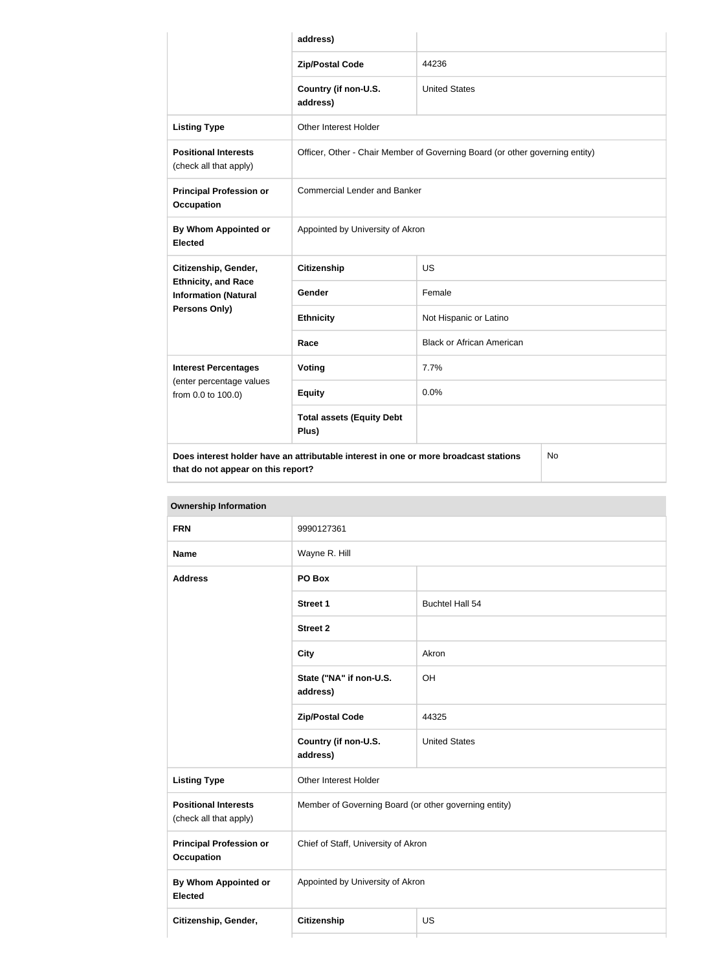|                                                           | address)                                                                             |                                  |  |  |
|-----------------------------------------------------------|--------------------------------------------------------------------------------------|----------------------------------|--|--|
|                                                           | <b>Zip/Postal Code</b>                                                               | 44236                            |  |  |
|                                                           | Country (if non-U.S.<br>address)                                                     | <b>United States</b>             |  |  |
| <b>Listing Type</b>                                       | <b>Other Interest Holder</b>                                                         |                                  |  |  |
| <b>Positional Interests</b><br>(check all that apply)     | Officer, Other - Chair Member of Governing Board (or other governing entity)         |                                  |  |  |
| <b>Principal Profession or</b><br><b>Occupation</b>       | <b>Commercial Lender and Banker</b>                                                  |                                  |  |  |
| <b>By Whom Appointed or</b><br><b>Elected</b>             | Appointed by University of Akron                                                     |                                  |  |  |
| Citizenship, Gender,                                      | <b>Citizenship</b>                                                                   | <b>US</b>                        |  |  |
| <b>Ethnicity, and Race</b><br><b>Information (Natural</b> | Gender                                                                               | Female                           |  |  |
| Persons Only)                                             | <b>Ethnicity</b>                                                                     | Not Hispanic or Latino           |  |  |
|                                                           | Race                                                                                 | <b>Black or African American</b> |  |  |
| <b>Interest Percentages</b>                               | <b>Voting</b>                                                                        | 7.7%                             |  |  |
| (enter percentage values<br>from 0.0 to 100.0)            | <b>Equity</b>                                                                        | 0.0%                             |  |  |
|                                                           | <b>Total assets (Equity Debt</b><br>Plus)                                            |                                  |  |  |
| that do not appear on this report?                        | Does interest holder have an attributable interest in one or more broadcast stations | <b>No</b>                        |  |  |

| <b>FRN</b>                                            | 9990127361                                            |                        |  |
|-------------------------------------------------------|-------------------------------------------------------|------------------------|--|
| <b>Name</b>                                           | Wayne R. Hill                                         |                        |  |
| <b>Address</b>                                        | PO Box                                                |                        |  |
|                                                       | <b>Street 1</b>                                       | <b>Buchtel Hall 54</b> |  |
|                                                       | <b>Street 2</b>                                       |                        |  |
|                                                       | <b>City</b>                                           | Akron                  |  |
|                                                       | State ("NA" if non-U.S.<br>address)                   | OH                     |  |
|                                                       | <b>Zip/Postal Code</b>                                | 44325                  |  |
|                                                       | Country (if non-U.S.<br>address)                      | <b>United States</b>   |  |
| <b>Listing Type</b>                                   | Other Interest Holder                                 |                        |  |
| <b>Positional Interests</b><br>(check all that apply) | Member of Governing Board (or other governing entity) |                        |  |
| <b>Principal Profession or</b><br><b>Occupation</b>   | Chief of Staff, University of Akron                   |                        |  |
| <b>By Whom Appointed or</b><br><b>Elected</b>         | Appointed by University of Akron                      |                        |  |
| Citizenship, Gender,                                  | Citizenship<br>US                                     |                        |  |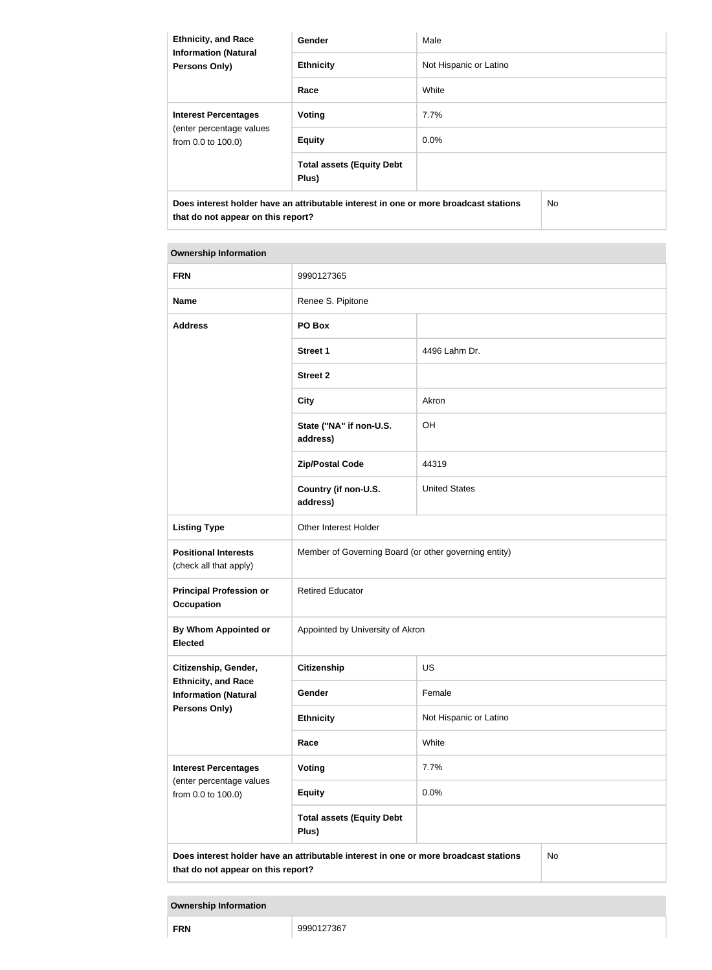| <b>Ethnicity, and Race</b><br><b>Information (Natural</b><br><b>Persons Only)</b>                                                 | <b>Gender</b>                             | Male                   |  |
|-----------------------------------------------------------------------------------------------------------------------------------|-------------------------------------------|------------------------|--|
|                                                                                                                                   | <b>Ethnicity</b>                          | Not Hispanic or Latino |  |
|                                                                                                                                   | Race                                      | White                  |  |
| <b>Interest Percentages</b><br>(enter percentage values<br>from 0.0 to 100.0)                                                     | Voting                                    | 7.7%                   |  |
|                                                                                                                                   | <b>Equity</b>                             | 0.0%                   |  |
|                                                                                                                                   | <b>Total assets (Equity Debt</b><br>Plus) |                        |  |
| Does interest holder have an attributable interest in one or more broadcast stations<br>No.<br>that do not appear on this report? |                                           |                        |  |

| <b>FRN</b>                                                                                                                       | 9990127365                                            |                        |  |
|----------------------------------------------------------------------------------------------------------------------------------|-------------------------------------------------------|------------------------|--|
| <b>Name</b>                                                                                                                      | Renee S. Pipitone                                     |                        |  |
| <b>Address</b>                                                                                                                   | PO Box                                                |                        |  |
|                                                                                                                                  | <b>Street 1</b>                                       | 4496 Lahm Dr.          |  |
|                                                                                                                                  | <b>Street 2</b>                                       |                        |  |
|                                                                                                                                  | <b>City</b>                                           | Akron                  |  |
|                                                                                                                                  | State ("NA" if non-U.S.<br>address)                   | OH                     |  |
|                                                                                                                                  | <b>Zip/Postal Code</b>                                | 44319                  |  |
|                                                                                                                                  | Country (if non-U.S.<br>address)                      | <b>United States</b>   |  |
| <b>Listing Type</b>                                                                                                              | Other Interest Holder                                 |                        |  |
| <b>Positional Interests</b><br>(check all that apply)                                                                            | Member of Governing Board (or other governing entity) |                        |  |
| <b>Principal Profession or</b><br><b>Occupation</b>                                                                              | <b>Retired Educator</b>                               |                        |  |
| By Whom Appointed or<br><b>Elected</b>                                                                                           | Appointed by University of Akron                      |                        |  |
| Citizenship, Gender,                                                                                                             | <b>Citizenship</b>                                    | <b>US</b>              |  |
| <b>Ethnicity, and Race</b><br><b>Information (Natural</b>                                                                        | Gender                                                | Female                 |  |
| <b>Persons Only)</b>                                                                                                             | <b>Ethnicity</b>                                      | Not Hispanic or Latino |  |
|                                                                                                                                  | Race                                                  | White                  |  |
| <b>Interest Percentages</b>                                                                                                      | <b>Voting</b>                                         | 7.7%                   |  |
| (enter percentage values<br>from 0.0 to 100.0)                                                                                   | <b>Equity</b>                                         | 0.0%                   |  |
|                                                                                                                                  | <b>Total assets (Equity Debt</b><br>Plus)             |                        |  |
| Does interest holder have an attributable interest in one or more broadcast stations<br>No<br>that do not appear on this report? |                                                       |                        |  |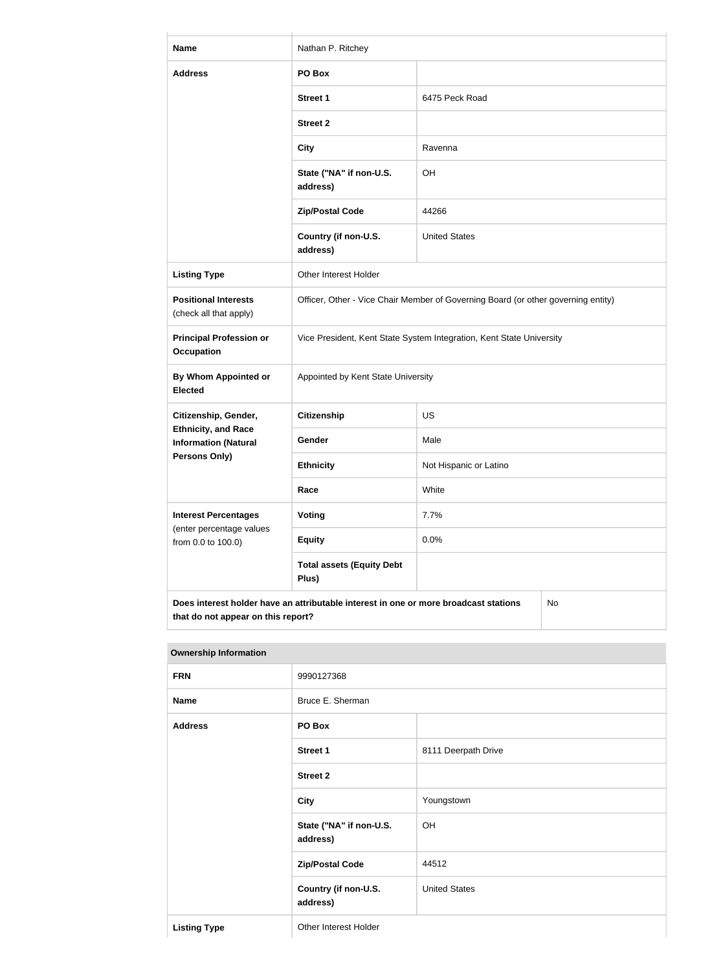| <b>Name</b>                                                                                                                      | Nathan P. Ritchey                         |                                                                                   |  |
|----------------------------------------------------------------------------------------------------------------------------------|-------------------------------------------|-----------------------------------------------------------------------------------|--|
| <b>Address</b>                                                                                                                   | PO Box                                    |                                                                                   |  |
|                                                                                                                                  | <b>Street 1</b>                           | 6475 Peck Road                                                                    |  |
|                                                                                                                                  | <b>Street 2</b>                           |                                                                                   |  |
|                                                                                                                                  | <b>City</b>                               | Ravenna                                                                           |  |
|                                                                                                                                  | State ("NA" if non-U.S.<br>address)       | OH                                                                                |  |
|                                                                                                                                  | <b>Zip/Postal Code</b>                    | 44266                                                                             |  |
|                                                                                                                                  | Country (if non-U.S.<br>address)          | <b>United States</b>                                                              |  |
| <b>Listing Type</b>                                                                                                              | Other Interest Holder                     |                                                                                   |  |
| <b>Positional Interests</b><br>(check all that apply)                                                                            |                                           | Officer, Other - Vice Chair Member of Governing Board (or other governing entity) |  |
| <b>Principal Profession or</b><br><b>Occupation</b>                                                                              |                                           | Vice President, Kent State System Integration, Kent State University              |  |
| By Whom Appointed or<br><b>Elected</b>                                                                                           | Appointed by Kent State University        |                                                                                   |  |
| Citizenship, Gender,                                                                                                             | <b>Citizenship</b>                        | US                                                                                |  |
| <b>Ethnicity, and Race</b><br><b>Information (Natural</b>                                                                        | Gender                                    | Male                                                                              |  |
| <b>Persons Only)</b>                                                                                                             | <b>Ethnicity</b>                          | Not Hispanic or Latino                                                            |  |
|                                                                                                                                  | Race                                      | White                                                                             |  |
| <b>Interest Percentages</b><br>(enter percentage values                                                                          | Voting                                    | 7.7%                                                                              |  |
| from 0.0 to 100.0)                                                                                                               | <b>Equity</b>                             | 0.0%                                                                              |  |
|                                                                                                                                  | <b>Total assets (Equity Debt</b><br>Plus) |                                                                                   |  |
| Does interest holder have an attributable interest in one or more broadcast stations<br>No<br>that do not appear on this report? |                                           |                                                                                   |  |

| <b>FRN</b>          | 9990127368                          |                      |
|---------------------|-------------------------------------|----------------------|
| <b>Name</b>         | Bruce E. Sherman                    |                      |
| <b>Address</b>      | PO Box                              |                      |
|                     | <b>Street 1</b>                     | 8111 Deerpath Drive  |
|                     | <b>Street 2</b>                     |                      |
|                     | <b>City</b>                         | Youngstown           |
|                     | State ("NA" if non-U.S.<br>address) | OH                   |
|                     | <b>Zip/Postal Code</b>              | 44512                |
|                     | Country (if non-U.S.<br>address)    | <b>United States</b> |
| <b>Listing Type</b> | Other Interest Holder               |                      |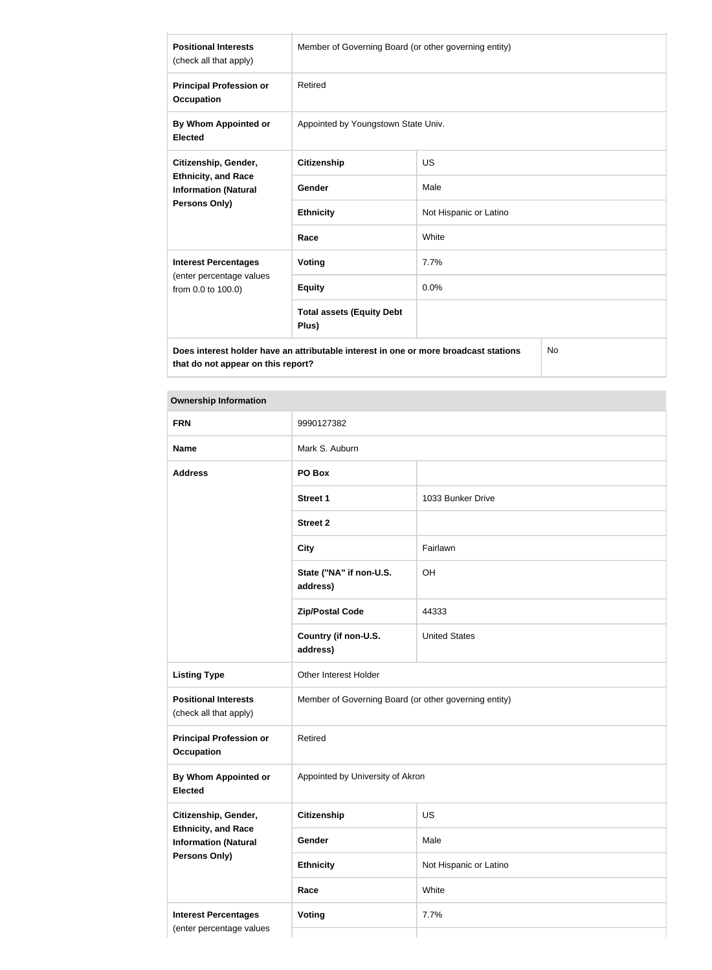| <b>Positional Interests</b><br>(check all that apply)                                             | Member of Governing Board (or other governing entity) |                        |  |
|---------------------------------------------------------------------------------------------------|-------------------------------------------------------|------------------------|--|
| <b>Principal Profession or</b><br>Occupation                                                      | Retired                                               |                        |  |
| By Whom Appointed or<br><b>Elected</b>                                                            | Appointed by Youngstown State Univ.                   |                        |  |
| Citizenship, Gender,                                                                              | <b>Citizenship</b>                                    | <b>US</b>              |  |
| <b>Ethnicity, and Race</b><br><b>Information (Natural</b><br><b>Persons Only)</b>                 | <b>Gender</b>                                         | Male                   |  |
|                                                                                                   | <b>Ethnicity</b>                                      | Not Hispanic or Latino |  |
|                                                                                                   | Race                                                  | White                  |  |
| <b>Interest Percentages</b><br>(enter percentage values<br>from 0.0 to 100.0)                     | Voting                                                | 7.7%                   |  |
|                                                                                                   | <b>Equity</b>                                         | 0.0%                   |  |
|                                                                                                   | <b>Total assets (Equity Debt</b><br>Plus)             |                        |  |
| Does interest holder have an attributable interest in one or more broadcast stations<br><b>No</b> |                                                       |                        |  |

**Does interest holder have an attributable interest in one or more broadcast stations that do not appear on this report?**

| <b>FRN</b>                                                | 9990127382                                            |                        |
|-----------------------------------------------------------|-------------------------------------------------------|------------------------|
| <b>Name</b>                                               | Mark S. Auburn                                        |                        |
| <b>Address</b>                                            | PO Box                                                |                        |
|                                                           | <b>Street 1</b>                                       | 1033 Bunker Drive      |
|                                                           | <b>Street 2</b>                                       |                        |
|                                                           | <b>City</b>                                           | Fairlawn               |
|                                                           | State ("NA" if non-U.S.<br>address)                   | OH                     |
|                                                           | <b>Zip/Postal Code</b>                                | 44333                  |
|                                                           | Country (if non-U.S.<br>address)                      | <b>United States</b>   |
| <b>Listing Type</b>                                       | Other Interest Holder                                 |                        |
| <b>Positional Interests</b><br>(check all that apply)     | Member of Governing Board (or other governing entity) |                        |
| <b>Principal Profession or</b><br><b>Occupation</b>       | Retired                                               |                        |
| By Whom Appointed or<br><b>Elected</b>                    | Appointed by University of Akron                      |                        |
| Citizenship, Gender,                                      | Citizenship                                           | US                     |
| <b>Ethnicity, and Race</b><br><b>Information (Natural</b> | Gender                                                | Male                   |
| <b>Persons Only)</b>                                      | <b>Ethnicity</b>                                      | Not Hispanic or Latino |
|                                                           | Race                                                  | White                  |
| <b>Interest Percentages</b>                               | Voting                                                | 7.7%                   |
| (enter percentage values                                  |                                                       |                        |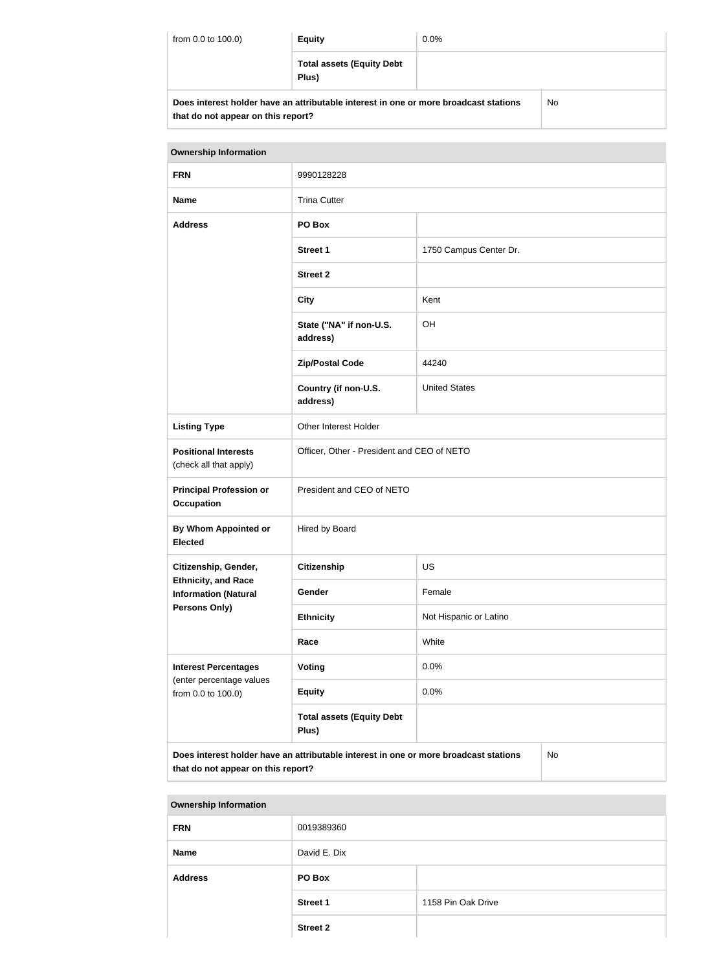| from 0.0 to 100.0)                                                                                                         | <b>Equity</b>                             | $0.0\%$ |    |
|----------------------------------------------------------------------------------------------------------------------------|-------------------------------------------|---------|----|
|                                                                                                                            | <b>Total assets (Equity Debt</b><br>Plus) |         |    |
| Does interest holder have an attributable interest in one or more broadcast stations<br>that do not appear on this report? |                                           |         | No |

| <b>Ownership Information</b>                                                                                                     |                                            |                        |  |
|----------------------------------------------------------------------------------------------------------------------------------|--------------------------------------------|------------------------|--|
| <b>FRN</b>                                                                                                                       | 9990128228                                 |                        |  |
| <b>Name</b>                                                                                                                      | <b>Trina Cutter</b>                        |                        |  |
| <b>Address</b>                                                                                                                   | PO Box                                     |                        |  |
|                                                                                                                                  | <b>Street 1</b>                            | 1750 Campus Center Dr. |  |
|                                                                                                                                  | <b>Street 2</b>                            |                        |  |
|                                                                                                                                  | <b>City</b>                                | Kent                   |  |
|                                                                                                                                  | State ("NA" if non-U.S.<br>address)        | OH                     |  |
|                                                                                                                                  | <b>Zip/Postal Code</b>                     | 44240                  |  |
|                                                                                                                                  | Country (if non-U.S.<br>address)           | <b>United States</b>   |  |
| <b>Listing Type</b>                                                                                                              | Other Interest Holder                      |                        |  |
| <b>Positional Interests</b><br>(check all that apply)                                                                            | Officer, Other - President and CEO of NETO |                        |  |
| <b>Principal Profession or</b><br><b>Occupation</b>                                                                              | President and CEO of NETO                  |                        |  |
| By Whom Appointed or<br><b>Elected</b>                                                                                           | Hired by Board                             |                        |  |
| Citizenship, Gender,                                                                                                             | <b>Citizenship</b>                         | <b>US</b>              |  |
| <b>Ethnicity, and Race</b><br><b>Information (Natural</b>                                                                        | Gender                                     | Female                 |  |
| <b>Persons Only)</b>                                                                                                             | <b>Ethnicity</b>                           | Not Hispanic or Latino |  |
|                                                                                                                                  | Race                                       | White                  |  |
| <b>Interest Percentages</b>                                                                                                      | <b>Voting</b>                              | 0.0%                   |  |
| (enter percentage values<br>from 0.0 to 100.0)                                                                                   | <b>Equity</b>                              | 0.0%                   |  |
|                                                                                                                                  | <b>Total assets (Equity Debt</b><br>Plus)  |                        |  |
| Does interest holder have an attributable interest in one or more broadcast stations<br>No<br>that do not appear on this report? |                                            |                        |  |

| <b>FRN</b>     | 0019389360      |                    |
|----------------|-----------------|--------------------|
| <b>Name</b>    | David E. Dix    |                    |
| <b>Address</b> | PO Box          |                    |
|                | <b>Street 1</b> | 1158 Pin Oak Drive |
|                | <b>Street 2</b> |                    |
|                |                 |                    |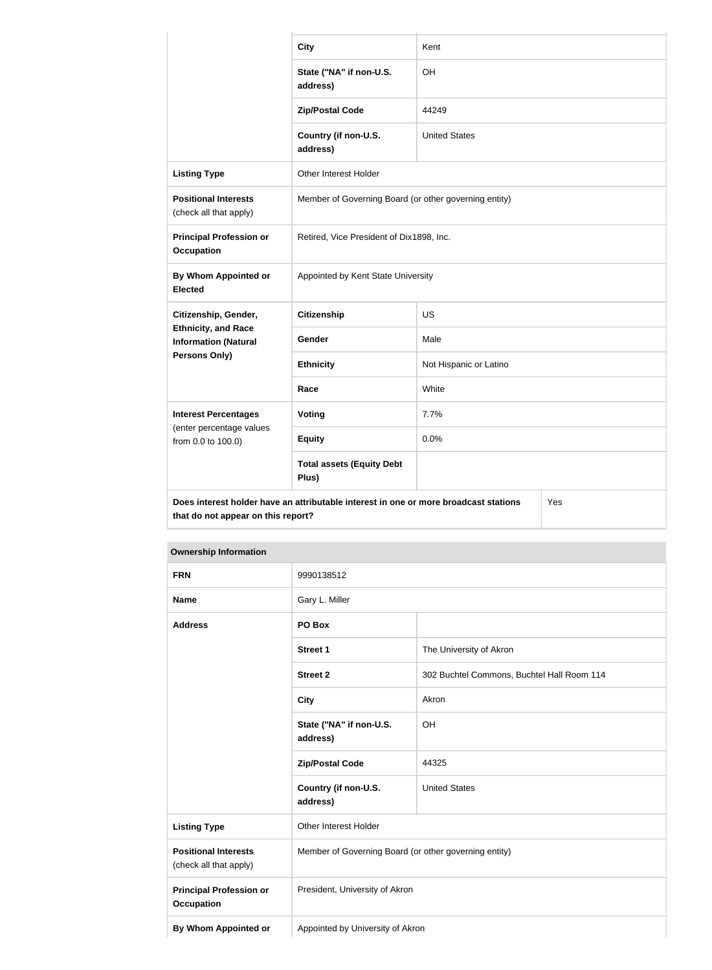|                                                                                                                                   | <b>City</b>                                           | Kent                   |  |
|-----------------------------------------------------------------------------------------------------------------------------------|-------------------------------------------------------|------------------------|--|
|                                                                                                                                   | State ("NA" if non-U.S.<br>address)                   | OH                     |  |
|                                                                                                                                   | <b>Zip/Postal Code</b>                                | 44249                  |  |
|                                                                                                                                   | Country (if non-U.S.<br>address)                      | <b>United States</b>   |  |
| <b>Listing Type</b>                                                                                                               | Other Interest Holder                                 |                        |  |
| <b>Positional Interests</b><br>(check all that apply)                                                                             | Member of Governing Board (or other governing entity) |                        |  |
| <b>Principal Profession or</b><br><b>Occupation</b>                                                                               | Retired, Vice President of Dix1898, Inc.              |                        |  |
| By Whom Appointed or<br><b>Elected</b>                                                                                            | Appointed by Kent State University                    |                        |  |
| Citizenship, Gender,                                                                                                              | <b>Citizenship</b>                                    | <b>US</b>              |  |
| <b>Ethnicity, and Race</b><br><b>Information (Natural</b>                                                                         | Gender                                                | Male                   |  |
| Persons Only)                                                                                                                     | <b>Ethnicity</b>                                      | Not Hispanic or Latino |  |
|                                                                                                                                   | Race                                                  | White                  |  |
| <b>Interest Percentages</b>                                                                                                       | <b>Voting</b>                                         | 7.7%                   |  |
| (enter percentage values<br>from 0.0 to 100.0)                                                                                    | <b>Equity</b>                                         | 0.0%                   |  |
|                                                                                                                                   | <b>Total assets (Equity Debt</b><br>Plus)             |                        |  |
| Does interest holder have an attributable interest in one or more broadcast stations<br>Yes<br>that do not appear on this report? |                                                       |                        |  |

| <b>Ownership Information</b> |  |  |  |
|------------------------------|--|--|--|
|------------------------------|--|--|--|

| <b>FRN</b>                                            | 9990138512                                            |                                            |
|-------------------------------------------------------|-------------------------------------------------------|--------------------------------------------|
| <b>Name</b>                                           | Gary L. Miller                                        |                                            |
| <b>Address</b>                                        | PO Box                                                |                                            |
|                                                       | <b>Street 1</b>                                       | The University of Akron                    |
|                                                       | <b>Street 2</b>                                       | 302 Buchtel Commons, Buchtel Hall Room 114 |
|                                                       | <b>City</b>                                           | Akron                                      |
|                                                       | State ("NA" if non-U.S.<br>address)                   | OH                                         |
|                                                       | <b>Zip/Postal Code</b>                                | 44325                                      |
|                                                       | Country (if non-U.S.<br>address)                      | <b>United States</b>                       |
| <b>Listing Type</b>                                   | Other Interest Holder                                 |                                            |
| <b>Positional Interests</b><br>(check all that apply) | Member of Governing Board (or other governing entity) |                                            |
| <b>Principal Profession or</b><br><b>Occupation</b>   | President, University of Akron                        |                                            |
| By Whom Appointed or                                  | Appointed by University of Akron                      |                                            |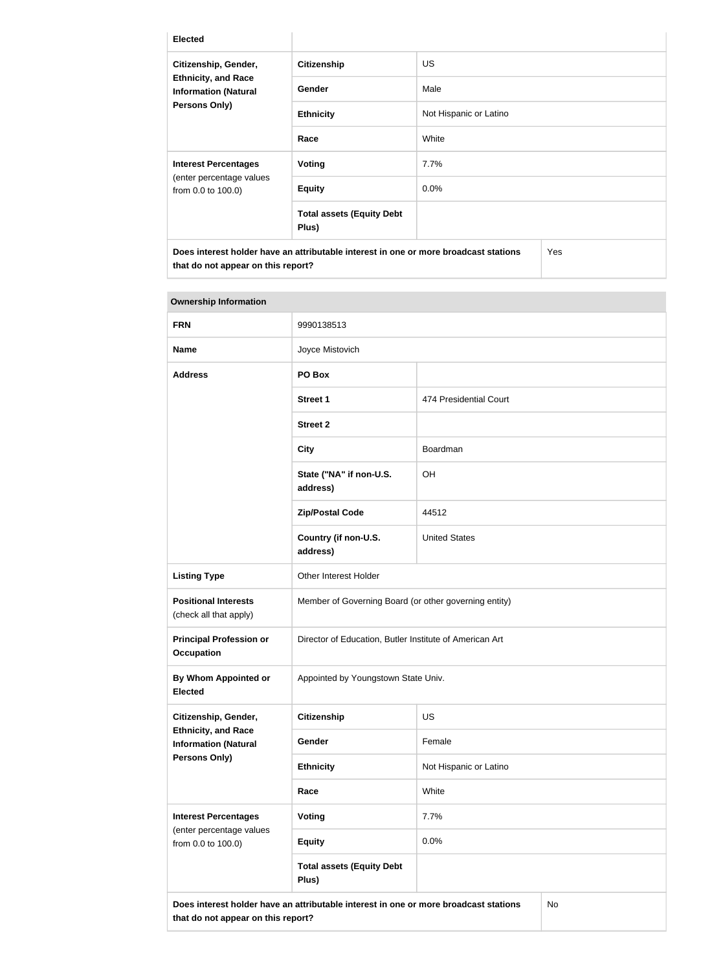| <b>Elected</b>                                                                                            |                                           |                        |     |
|-----------------------------------------------------------------------------------------------------------|-------------------------------------------|------------------------|-----|
| Citizenship, Gender,<br><b>Ethnicity, and Race</b><br><b>Information (Natural</b><br><b>Persons Only)</b> | <b>Citizenship</b>                        | <b>US</b>              |     |
|                                                                                                           | <b>Gender</b>                             | Male                   |     |
|                                                                                                           | <b>Ethnicity</b>                          | Not Hispanic or Latino |     |
|                                                                                                           | Race                                      | White                  |     |
| <b>Interest Percentages</b><br>(enter percentage values<br>from 0.0 to 100.0)                             | Voting                                    | 7.7%                   |     |
|                                                                                                           | <b>Equity</b>                             | $0.0\%$                |     |
|                                                                                                           | <b>Total assets (Equity Debt</b><br>Plus) |                        |     |
| Does interest holder have an attributable interest in one or more broadcast stations                      |                                           |                        | Yes |

**that do not appear on this report?**

| <b>Ownership Information</b>                                                                                                            |                                                         |                        |  |
|-----------------------------------------------------------------------------------------------------------------------------------------|---------------------------------------------------------|------------------------|--|
| <b>FRN</b>                                                                                                                              | 9990138513                                              |                        |  |
| <b>Name</b>                                                                                                                             | Joyce Mistovich                                         |                        |  |
| <b>Address</b>                                                                                                                          | PO Box                                                  |                        |  |
|                                                                                                                                         | <b>Street 1</b>                                         | 474 Presidential Court |  |
|                                                                                                                                         | <b>Street 2</b>                                         |                        |  |
|                                                                                                                                         | <b>City</b>                                             | Boardman               |  |
|                                                                                                                                         | State ("NA" if non-U.S.<br>address)                     | <b>OH</b>              |  |
|                                                                                                                                         | <b>Zip/Postal Code</b>                                  | 44512                  |  |
|                                                                                                                                         | Country (if non-U.S.<br>address)                        | <b>United States</b>   |  |
| <b>Listing Type</b>                                                                                                                     | Other Interest Holder                                   |                        |  |
| <b>Positional Interests</b><br>(check all that apply)                                                                                   | Member of Governing Board (or other governing entity)   |                        |  |
| <b>Principal Profession or</b><br><b>Occupation</b>                                                                                     | Director of Education, Butler Institute of American Art |                        |  |
| <b>By Whom Appointed or</b><br><b>Elected</b>                                                                                           | Appointed by Youngstown State Univ.                     |                        |  |
| Citizenship, Gender,                                                                                                                    | Citizenship                                             | <b>US</b>              |  |
| <b>Ethnicity, and Race</b><br><b>Information (Natural</b>                                                                               | Gender                                                  | Female                 |  |
| Persons Only)                                                                                                                           | <b>Ethnicity</b>                                        | Not Hispanic or Latino |  |
|                                                                                                                                         | Race                                                    | White                  |  |
| <b>Interest Percentages</b><br>(enter percentage values<br>from 0.0 to 100.0)                                                           | Voting                                                  | 7.7%                   |  |
|                                                                                                                                         | <b>Equity</b>                                           | 0.0%                   |  |
|                                                                                                                                         | <b>Total assets (Equity Debt</b><br>Plus)               |                        |  |
| Does interest holder have an attributable interest in one or more broadcast stations<br><b>No</b><br>that do not appear on this report? |                                                         |                        |  |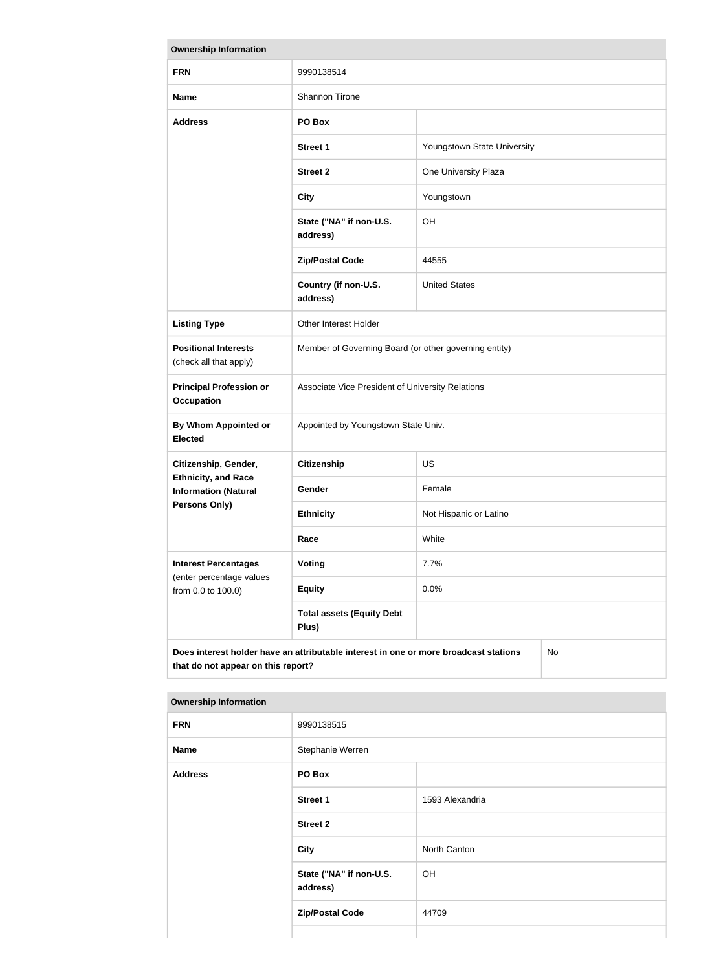| <b>Ownership Information</b>                                                                                                            |                                                       |                             |  |
|-----------------------------------------------------------------------------------------------------------------------------------------|-------------------------------------------------------|-----------------------------|--|
| <b>FRN</b>                                                                                                                              | 9990138514                                            |                             |  |
| <b>Name</b>                                                                                                                             | Shannon Tirone                                        |                             |  |
| <b>Address</b>                                                                                                                          | PO Box                                                |                             |  |
|                                                                                                                                         | <b>Street 1</b>                                       | Youngstown State University |  |
|                                                                                                                                         | <b>Street 2</b>                                       | One University Plaza        |  |
|                                                                                                                                         | <b>City</b>                                           | Youngstown                  |  |
|                                                                                                                                         | State ("NA" if non-U.S.<br>address)                   | OH                          |  |
|                                                                                                                                         | <b>Zip/Postal Code</b>                                | 44555                       |  |
|                                                                                                                                         | Country (if non-U.S.<br>address)                      | <b>United States</b>        |  |
| <b>Listing Type</b>                                                                                                                     | Other Interest Holder                                 |                             |  |
| <b>Positional Interests</b><br>(check all that apply)                                                                                   | Member of Governing Board (or other governing entity) |                             |  |
| <b>Principal Profession or</b><br><b>Occupation</b>                                                                                     | Associate Vice President of University Relations      |                             |  |
| By Whom Appointed or<br><b>Elected</b>                                                                                                  | Appointed by Youngstown State Univ.                   |                             |  |
| Citizenship, Gender,                                                                                                                    | <b>Citizenship</b>                                    | <b>US</b>                   |  |
| <b>Ethnicity, and Race</b><br><b>Information (Natural</b>                                                                               | Gender                                                | Female                      |  |
| <b>Persons Only)</b>                                                                                                                    | <b>Ethnicity</b>                                      | Not Hispanic or Latino      |  |
|                                                                                                                                         | Race                                                  | White                       |  |
| <b>Interest Percentages</b><br>(enter percentage values<br>from 0.0 to 100.0)                                                           | Voting                                                | 7.7%                        |  |
|                                                                                                                                         | <b>Equity</b>                                         | 0.0%                        |  |
|                                                                                                                                         | <b>Total assets (Equity Debt</b><br>Plus)             |                             |  |
| Does interest holder have an attributable interest in one or more broadcast stations<br><b>No</b><br>that do not appear on this report? |                                                       |                             |  |

| <b>Ownership Information</b> |                                     |                 |  |
|------------------------------|-------------------------------------|-----------------|--|
| <b>FRN</b>                   | 9990138515                          |                 |  |
| <b>Name</b>                  | Stephanie Werren                    |                 |  |
| <b>Address</b>               | PO Box                              |                 |  |
|                              | <b>Street 1</b>                     | 1593 Alexandria |  |
|                              | <b>Street 2</b>                     |                 |  |
|                              | <b>City</b>                         | North Canton    |  |
|                              | State ("NA" if non-U.S.<br>address) | OH              |  |
|                              | <b>Zip/Postal Code</b>              | 44709           |  |
|                              |                                     |                 |  |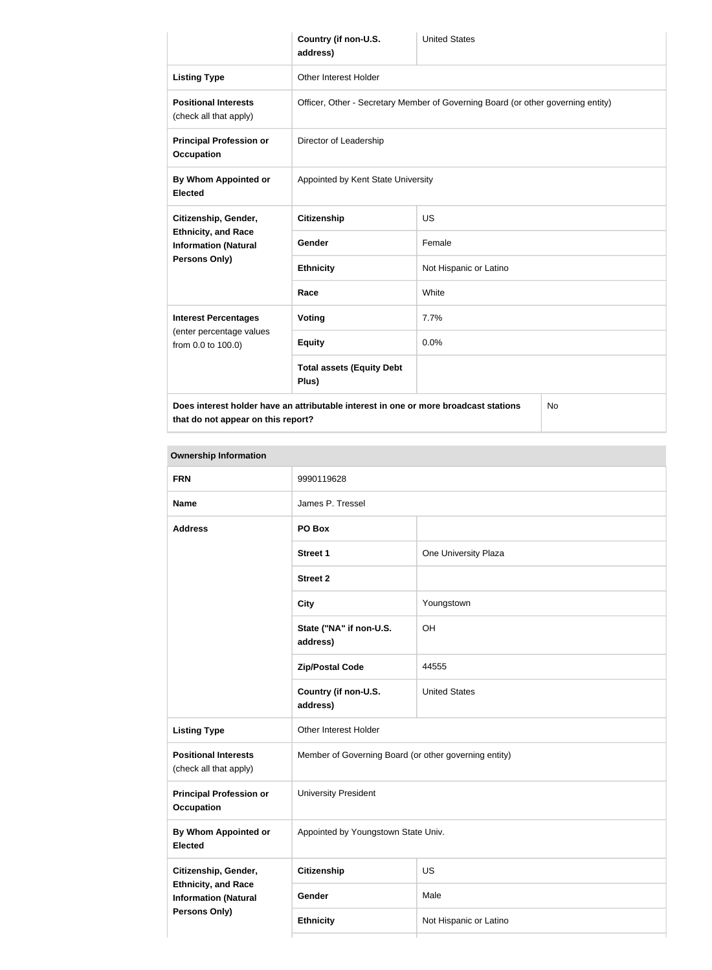|                                                                                                   | Country (if non-U.S.<br>address)                                                 | <b>United States</b>   |  |
|---------------------------------------------------------------------------------------------------|----------------------------------------------------------------------------------|------------------------|--|
| <b>Listing Type</b>                                                                               | Other Interest Holder                                                            |                        |  |
| <b>Positional Interests</b><br>(check all that apply)                                             | Officer, Other - Secretary Member of Governing Board (or other governing entity) |                        |  |
| <b>Principal Profession or</b><br><b>Occupation</b>                                               | Director of Leadership                                                           |                        |  |
| By Whom Appointed or<br><b>Elected</b>                                                            | Appointed by Kent State University                                               |                        |  |
| Citizenship, Gender,                                                                              | <b>Citizenship</b>                                                               | <b>US</b>              |  |
| <b>Ethnicity, and Race</b><br><b>Information (Natural</b><br>Persons Only)                        | Gender                                                                           | Female                 |  |
|                                                                                                   | <b>Ethnicity</b>                                                                 | Not Hispanic or Latino |  |
|                                                                                                   | Race                                                                             | White                  |  |
| <b>Interest Percentages</b>                                                                       | Voting                                                                           | 7.7%                   |  |
| (enter percentage values<br>from 0.0 to 100.0)                                                    | <b>Equity</b>                                                                    | 0.0%                   |  |
|                                                                                                   | <b>Total assets (Equity Debt</b><br>Plus)                                        |                        |  |
| Does interest holder have an attributable interest in one or more broadcast stations<br><b>No</b> |                                                                                  |                        |  |

**that do not appear on this report?**

| <b>Ownership Information</b>                              |                                                       |                        |  |
|-----------------------------------------------------------|-------------------------------------------------------|------------------------|--|
| <b>FRN</b>                                                | 9990119628                                            |                        |  |
| <b>Name</b>                                               | James P. Tressel                                      |                        |  |
| <b>Address</b>                                            | PO Box                                                |                        |  |
|                                                           | <b>Street 1</b>                                       | One University Plaza   |  |
|                                                           | <b>Street 2</b>                                       |                        |  |
|                                                           | <b>City</b>                                           | Youngstown             |  |
|                                                           | State ("NA" if non-U.S.<br>address)                   | OH                     |  |
|                                                           | <b>Zip/Postal Code</b>                                | 44555                  |  |
|                                                           | Country (if non-U.S.<br>address)                      | <b>United States</b>   |  |
| <b>Listing Type</b>                                       | Other Interest Holder                                 |                        |  |
| <b>Positional Interests</b><br>(check all that apply)     | Member of Governing Board (or other governing entity) |                        |  |
| <b>Principal Profession or</b><br><b>Occupation</b>       | <b>University President</b>                           |                        |  |
| By Whom Appointed or<br><b>Elected</b>                    | Appointed by Youngstown State Univ.                   |                        |  |
| Citizenship, Gender,                                      | <b>Citizenship</b>                                    | US                     |  |
| <b>Ethnicity, and Race</b><br><b>Information (Natural</b> | Gender                                                | Male                   |  |
| <b>Persons Only)</b>                                      | <b>Ethnicity</b>                                      | Not Hispanic or Latino |  |
|                                                           |                                                       |                        |  |

Ť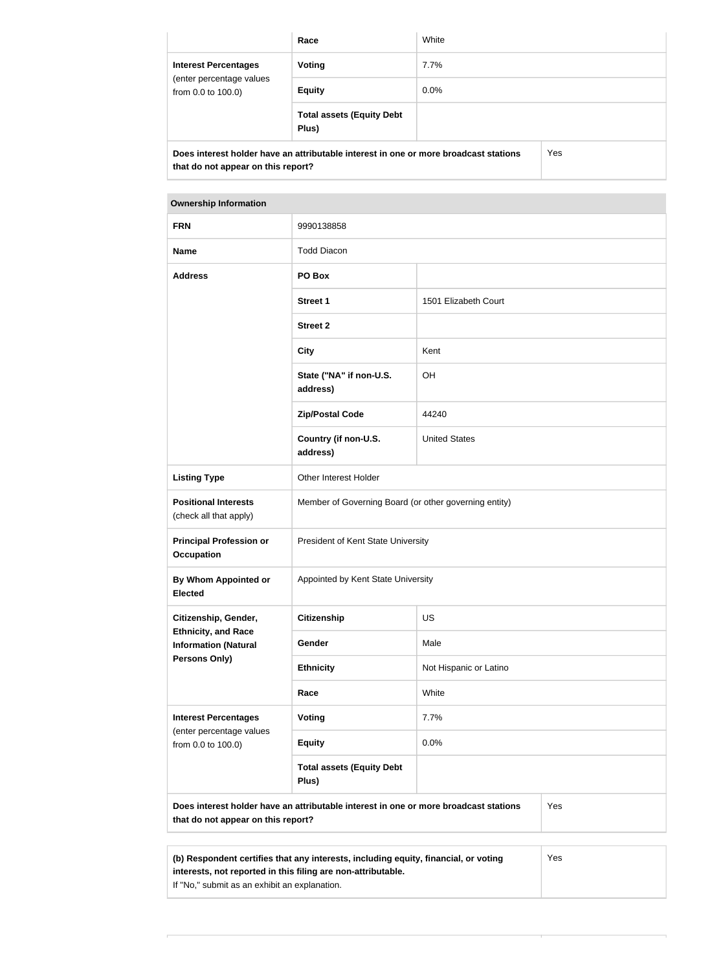|                                                                                             | Race                                      | White   |  |
|---------------------------------------------------------------------------------------------|-------------------------------------------|---------|--|
| <b>Interest Percentages</b><br>(enter percentage values<br>from 0.0 to 100.0)               | Voting                                    | $7.7\%$ |  |
|                                                                                             | <b>Equity</b>                             | $0.0\%$ |  |
|                                                                                             | <b>Total assets (Equity Debt</b><br>Plus) |         |  |
| Does interest holder have an attributable interest in one or more broadcast stations<br>Yes |                                           |         |  |

**that do not appear on this report?**

| <b>Ownership Information</b>                              |                                                       |                        |  |
|-----------------------------------------------------------|-------------------------------------------------------|------------------------|--|
| <b>FRN</b>                                                | 9990138858                                            |                        |  |
| <b>Name</b>                                               | <b>Todd Diacon</b>                                    |                        |  |
| <b>Address</b>                                            | PO Box                                                |                        |  |
|                                                           | <b>Street 1</b>                                       | 1501 Elizabeth Court   |  |
|                                                           | <b>Street 2</b>                                       |                        |  |
|                                                           | <b>City</b>                                           | Kent                   |  |
|                                                           | State ("NA" if non-U.S.<br>address)                   | <b>OH</b>              |  |
|                                                           | <b>Zip/Postal Code</b>                                | 44240                  |  |
|                                                           | Country (if non-U.S.<br>address)                      | <b>United States</b>   |  |
| <b>Listing Type</b>                                       | Other Interest Holder                                 |                        |  |
| <b>Positional Interests</b><br>(check all that apply)     | Member of Governing Board (or other governing entity) |                        |  |
| <b>Principal Profession or</b><br><b>Occupation</b>       | President of Kent State University                    |                        |  |
| <b>By Whom Appointed or</b><br><b>Elected</b>             | Appointed by Kent State University                    |                        |  |
| Citizenship, Gender,                                      | <b>Citizenship</b>                                    | <b>US</b>              |  |
| <b>Ethnicity, and Race</b><br><b>Information (Natural</b> | Gender                                                | Male                   |  |
| Persons Only)                                             | <b>Ethnicity</b>                                      | Not Hispanic or Latino |  |
|                                                           | Race                                                  | White                  |  |
| <b>Interest Percentages</b>                               | Voting                                                | 7.7%                   |  |
| (enter percentage values<br>from 0.0 to 100.0)            | <b>Equity</b>                                         | 0.0%                   |  |
|                                                           | <b>Total assets (Equity Debt</b><br>Plus)             |                        |  |

| (b) Respondent certifies that any interests, including equity, financial, or voting | Yes |
|-------------------------------------------------------------------------------------|-----|
| interests, not reported in this filing are non-attributable.                        |     |
| If "No," submit as an exhibit an explanation.                                       |     |

 $\top$